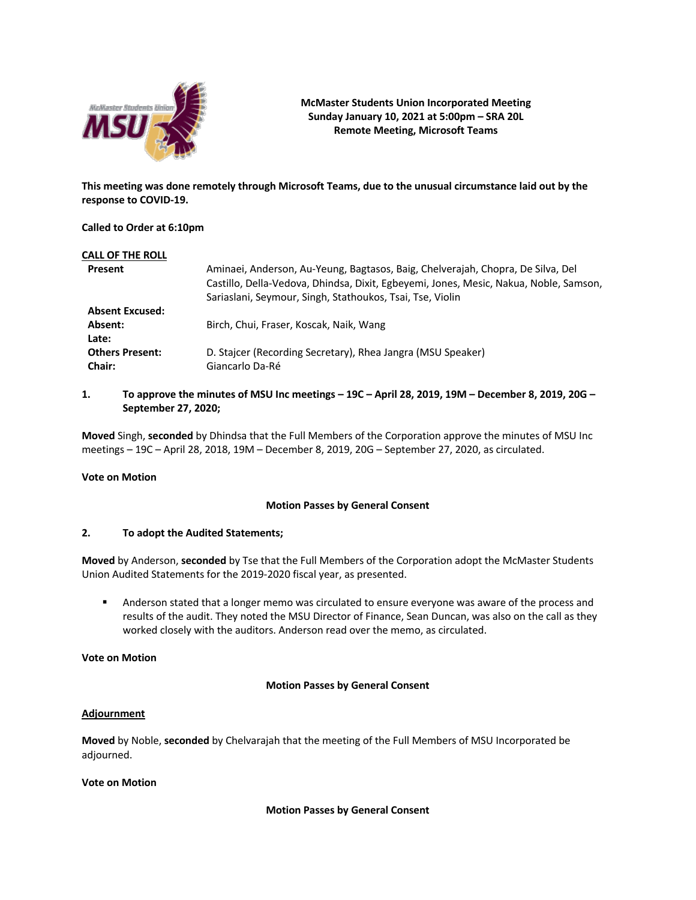

**McMaster Students Union Incorporated Meeting Sunday January 10, 2021 at 5:00pm – SRA 20L Remote Meeting, Microsoft Teams**

**This meeting was done remotely through Microsoft Teams, due to the unusual circumstance laid out by the response to COVID-19.**

## **Called to Order at 6:10pm**

| Aminaei, Anderson, Au-Yeung, Bagtasos, Baig, Chelverajah, Chopra, De Silva, Del<br>Castillo, Della-Vedova, Dhindsa, Dixit, Egbeyemi, Jones, Mesic, Nakua, Noble, Samson,<br>Sariaslani, Seymour, Singh, Stathoukos, Tsai, Tse, Violin |
|---------------------------------------------------------------------------------------------------------------------------------------------------------------------------------------------------------------------------------------|
|                                                                                                                                                                                                                                       |
| Birch, Chui, Fraser, Koscak, Naik, Wang                                                                                                                                                                                               |
| D. Staicer (Recording Secretary), Rhea Jangra (MSU Speaker)<br>Giancarlo Da-Ré                                                                                                                                                        |
|                                                                                                                                                                                                                                       |

# **1. To approve the minutes of MSU Inc meetings – 19C – April 28, 2019, 19M – December 8, 2019, 20G – September 27, 2020;**

**Moved** Singh, **seconded** by Dhindsa that the Full Members of the Corporation approve the minutes of MSU Inc meetings – 19C – April 28, 2018, 19M – December 8, 2019, 20G – September 27, 2020, as circulated.

### **Vote on Motion**

# **Motion Passes by General Consent**

## **2. To adopt the Audited Statements;**

**Moved** by Anderson, **seconded** by Tse that the Full Members of the Corporation adopt the McMaster Students Union Audited Statements for the 2019-2020 fiscal year, as presented. 

■ Anderson stated that a longer memo was circulated to ensure everyone was aware of the process and results of the audit. They noted the MSU Director of Finance, Sean Duncan, was also on the call as they worked closely with the auditors. Anderson read over the memo, as circulated.

## **Vote on Motion**

# **Motion Passes by General Consent**

### **Adjournment**

**Moved** by Noble, **seconded** by Chelvarajah that the meeting of the Full Members of MSU Incorporated be adjourned.

### **Vote on Motion**